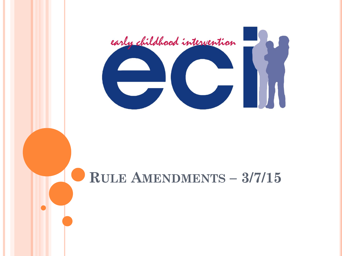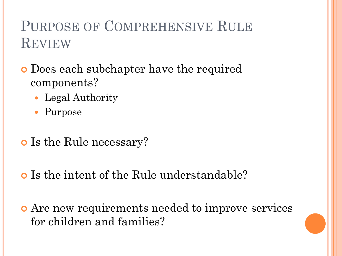## PURPOSE OF COMPREHENSIVE RULE **REVIEW**

- Does each subchapter have the required components?
	- Legal Authority
	- Purpose
- o Is the Rule necessary?
- Is the intent of the Rule understandable?
- Are new requirements needed to improve services for children and families?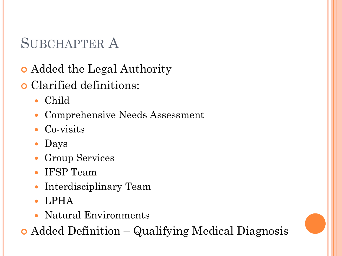- Added the Legal Authority
- Clarified definitions:
	- Child
	- Comprehensive Needs Assessment
	- Co-visits
	- Days
	- Group Services
	- IFSP Team
	- Interdisciplinary Team
	- LPHA
	- Natural Environments
- Added Definition Qualifying Medical Diagnosis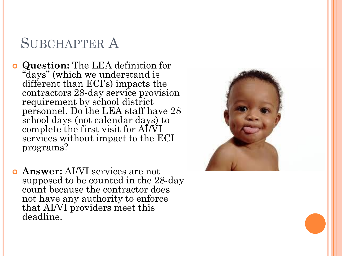- **Question:** The LEA definition for "days" (which we understand is different than ECI's) impacts the contractors 28-day service provision requirement by school district personnel. Do the LEA staff have 28 school days (not calendar days) to complete the first visit for AI/VI services without impact to the ECI programs?
- **Answer:** AI/VI services are not supposed to be counted in the 28-day count because the contractor does not have any authority to enforce that AI/VI providers meet this deadline.

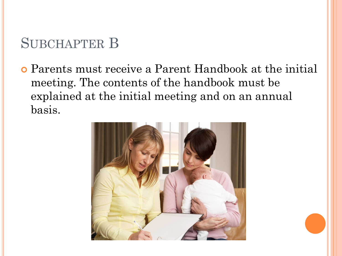Parents must receive a Parent Handbook at the initial meeting. The contents of the handbook must be explained at the initial meeting and on an annual basis.

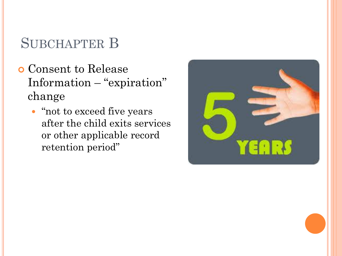- Consent to Release Information – "expiration" change
	- "not to exceed five years after the child exits services or other applicable record retention period"

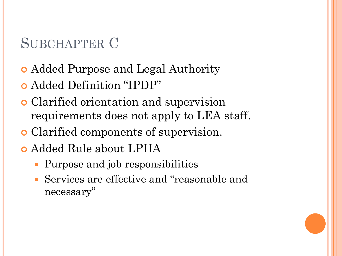- Added Purpose and Legal Authority
- Added Definition "IPDP"
- Clarified orientation and supervision requirements does not apply to LEA staff.
- Clarified components of supervision.
- Added Rule about LPHA
	- Purpose and job responsibilities
	- Services are effective and "reasonable and necessary"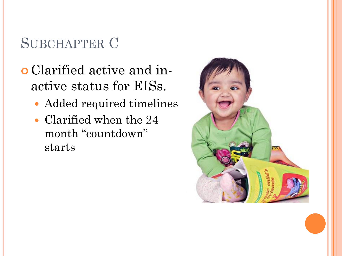- Clarified active and inactive status for EISs.
	- Added required timelines
	- Clarified when the 24 month "countdown" starts

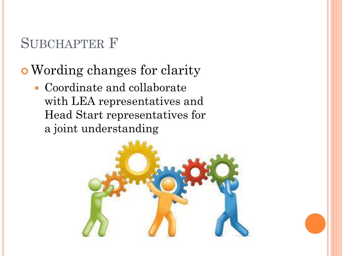## Wording changes for clarity

 Coordinate and collaborate with LEA representatives and Head Start representatives for a joint understanding

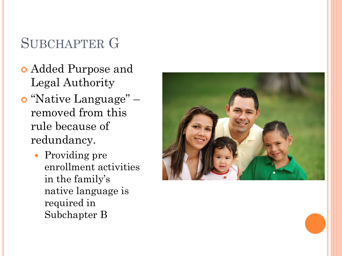- Added Purpose and Legal Authority
- o "Native Language" removed from this rule because of redundancy.
	- Providing pre enrollment activities in the family's native language is required in Subchapter B

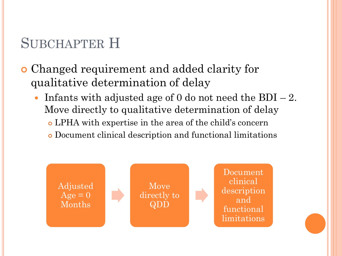- Changed requirement and added clarity for qualitative determination of delay
	- Infants with adjusted age of 0 do not need the  $BDI 2$ . Move directly to qualitative determination of delay LPHA with expertise in the area of the child's concern Document clinical description and functional limitations

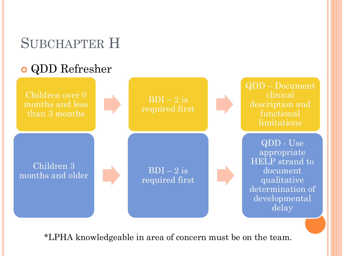#### QDD Refresher



\*LPHA knowledgeable in area of concern must be on the team.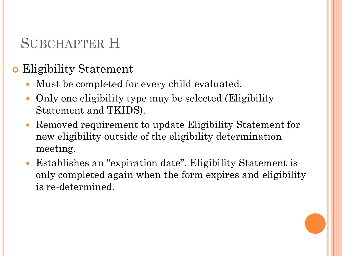#### Eligibility Statement

- Must be completed for every child evaluated.
- Only one eligibility type may be selected (Eligibility Statement and TKIDS).
- Removed requirement to update Eligibility Statement for new eligibility outside of the eligibility determination meeting.
- Establishes an "expiration date". Eligibility Statement is only completed again when the form expires and eligibility is re-determined.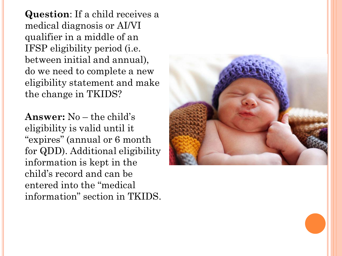**Question**: If a child receives a medical diagnosis or AI/VI qualifier in a middle of an IFSP eligibility period (i.e. between initial and annual), do we need to complete a new eligibility statement and make the change in TKIDS?

**Answer:** No – the child's eligibility is valid until it "expires" (annual or 6 month for QDD). Additional eligibility information is kept in the child's record and can be entered into the "medical information" section in TKIDS.

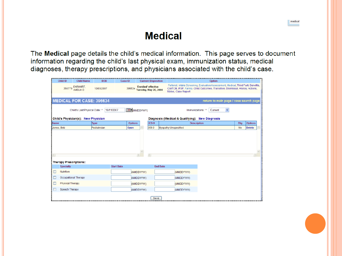#### **Medical**

medical

The Medical page details the child's medical information. This page serves to document information regarding the child's last physical exam, immunization status, medical diagnoses, therapy prescriptions, and physicians associated with the child's case.

|                    | Child ID<br><b>Child Name</b>       | <b>DOB</b>   | Case ID           | <b>Current Disposition</b>                    |                 |                                                 | Option                                                                                                                                                              |           |                |  |
|--------------------|-------------------------------------|--------------|-------------------|-----------------------------------------------|-----------------|-------------------------------------------------|---------------------------------------------------------------------------------------------------------------------------------------------------------------------|-----------|----------------|--|
|                    | EARHART.<br>360779<br>AMELIA D      | 10/03/2007   | 396634            | 'Enrolled' effective<br>Tuesday, May 20, 2008 |                 | Notes, Case Report                              | Referral, Intake Screening, Evaluation/Assessment, Medical, Third Party Benefits,<br>CM/TCM, IFSP, Family, Child Outcomes, Transition, Dismissal, History, Actions, |           |                |  |
|                    |                                     |              |                   |                                               |                 |                                                 |                                                                                                                                                                     |           |                |  |
|                    | <b>MEDICAL FOR CASE: 396634</b>     |              |                   |                                               |                 |                                                 | return to main page / case search page                                                                                                                              |           |                |  |
|                    | Child's Last Physical Date: *       | 10/11/2007   |                   | <b>B</b> (MMDDYYYY)                           |                 | Immunizations: *                                | $\checkmark$<br>Current                                                                                                                                             |           |                |  |
|                    | Child's Physician(s): New Physician |              |                   |                                               |                 | Diagnosis (Medical & Qualifying): New Diagnosis |                                                                                                                                                                     |           |                |  |
| <b>Name</b>        |                                     | Type         | <b>Options</b>    |                                               | $ICD-9$         | <b>Description</b>                              |                                                                                                                                                                     | Elig      | <b>Options</b> |  |
| <b>Uones</b> , Bob |                                     | Pediatrician | Open              | 359.9                                         |                 | Myopathy Unspecified                            |                                                                                                                                                                     | <b>No</b> | <b>Delete</b>  |  |
|                    |                                     |              |                   |                                               |                 |                                                 |                                                                                                                                                                     |           |                |  |
|                    |                                     |              |                   | $\langle$                                     |                 |                                                 |                                                                                                                                                                     |           |                |  |
|                    | Therapy Prescriptions:              |              |                   |                                               |                 |                                                 |                                                                                                                                                                     |           |                |  |
|                    | Specialty                           |              | <b>Start Date</b> |                                               | <b>End Date</b> |                                                 |                                                                                                                                                                     |           |                |  |
|                    | Nutrition                           |              |                   | (MMDDYYYY)                                    |                 | (MMDDYYYY)                                      |                                                                                                                                                                     |           |                |  |
|                    | <b>Occupational Therapy</b>         |              |                   | (MMDDYYYY)                                    |                 | (MMDDYYYY)                                      |                                                                                                                                                                     |           |                |  |
|                    | <b>Physical Therapy</b>             |              |                   | (MMDDYYYY)                                    |                 | (MMDDYYYY)                                      |                                                                                                                                                                     |           |                |  |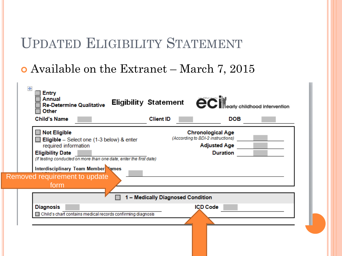#### UPDATED ELIGIBILITY STATEMENT

#### Available on the Extranet – March 7, 2015

| <b>Entry</b><br><b>Annual</b><br><b>Eligibility Statement</b><br><b>Re-Determine Qualitative</b><br>Other<br><b>Child's Name</b>                                                                 | <b>Client ID</b>                  | <b>eclic</b> early childhood intervention<br><b>DOB</b>                                                 |  |
|--------------------------------------------------------------------------------------------------------------------------------------------------------------------------------------------------|-----------------------------------|---------------------------------------------------------------------------------------------------------|--|
| <b>Not Eligible</b><br><b>Eligible</b> – Select one (1-3 below) & enter<br>required information<br><b>Eligibility Date</b><br>(If testing conducted on more than one date, enter the first date) |                                   | <b>Chronological Age</b><br>(According to BDI-2 instructions)<br><b>Adjusted Age</b><br><b>Duration</b> |  |
| Interdisciplinary Team Member Vames<br>Removed requirement to update<br>form                                                                                                                     |                                   |                                                                                                         |  |
|                                                                                                                                                                                                  | 1 - Medically Diagnosed Condition |                                                                                                         |  |
| <b>Diagnosis</b><br>Child's chart contains medical records confirming diagnosis                                                                                                                  |                                   | <b>ICD Code</b>                                                                                         |  |
|                                                                                                                                                                                                  |                                   |                                                                                                         |  |

×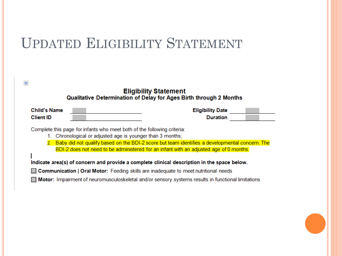#### UPDATED ELIGIBILITY STATEMENT

|                                                                                                                                    | <b>Eligibility Statement</b><br>Qualitative Determination of Delay for Ages Birth through 2 Months                                                                                          |
|------------------------------------------------------------------------------------------------------------------------------------|---------------------------------------------------------------------------------------------------------------------------------------------------------------------------------------------|
| <b>Child's Name</b><br><b>Client ID</b>                                                                                            | <b>Eligibility Date</b><br><b>Duration</b>                                                                                                                                                  |
| Complete this page for infants who meet both of the following criteria:<br>Chronological or adjusted age is younger than 3 months; | 2. Baby did not qualify based on the BDI-2 score but team identifies a developmental concern. The<br>BDI-2 does not need to be administered for an infant with an adjusted age of 0 months. |
|                                                                                                                                    | Indicate area(s) of concern and provide a complete clinical description in the space below.                                                                                                 |
|                                                                                                                                    | $\Box$ Communication   Oral Motor: Feeding skills are inadequate to meet nutritional needs                                                                                                  |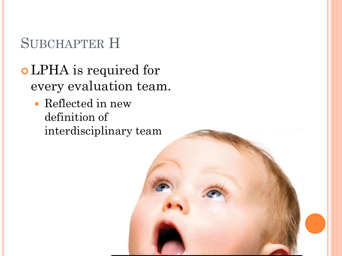- LPHA is required for every evaluation team.
	- Reflected in new definition of interdisciplinary team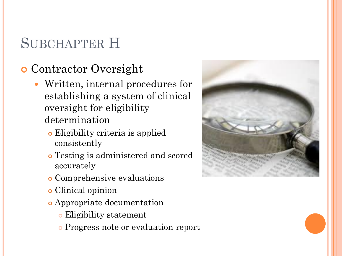#### Contractor Oversight

- Written, internal procedures for establishing a system of clinical oversight for eligibility determination
	- Eligibility criteria is applied consistently
	- Testing is administered and scored accurately
	- Comprehensive evaluations
	- Clinical opinion
	- Appropriate documentation
		- Eligibility statement
		- Progress note or evaluation report

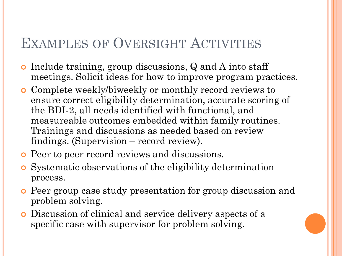#### EXAMPLES OF OVERSIGHT ACTIVITIES

- Include training, group discussions, Q and A into staff meetings. Solicit ideas for how to improve program practices.
- Complete weekly/biweekly or monthly record reviews to ensure correct eligibility determination, accurate scoring of the BDI-2, all needs identified with functional, and measureable outcomes embedded within family routines. Trainings and discussions as needed based on review findings. (Supervision – record review).
- **o** Peer to peer record reviews and discussions.
- Systematic observations of the eligibility determination process.
- Peer group case study presentation for group discussion and problem solving.
- Discussion of clinical and service delivery aspects of a specific case with supervisor for problem solving.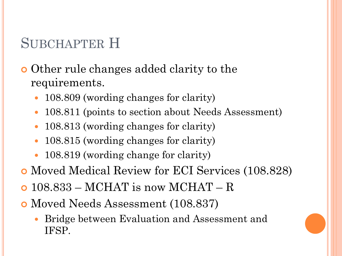#### Other rule changes added clarity to the requirements.

- 108.809 (wording changes for clarity)
- 108.811 (points to section about Needs Assessment)
- 108.813 (wording changes for clarity)
- 108.815 (wording changes for clarity)
- 108.819 (wording change for clarity)
- Moved Medical Review for ECI Services (108.828)
- 108.833 MCHAT is now MCHAT R
- Moved Needs Assessment (108.837)
	- Bridge between Evaluation and Assessment and IFSP.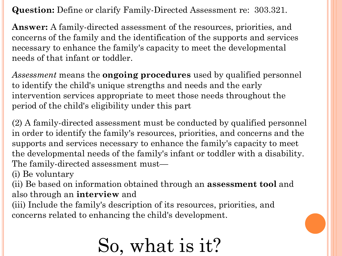**Question:** Define or clarify Family-Directed Assessment re: 303.321.

**Answer:** A family-directed assessment of the resources, priorities, and concerns of the family and the identification of the supports and services necessary to enhance the family's capacity to meet the developmental needs of that infant or toddler.

*Assessment* means the **ongoing procedures** used by qualified personnel to identify the child's unique strengths and needs and the early intervention services appropriate to meet those needs throughout the period of the child's eligibility under this part

(2) A family-directed assessment must be conducted by qualified personnel in order to identify the family's resources, priorities, and concerns and the supports and services necessary to enhance the family's capacity to meet the developmental needs of the family's infant or toddler with a disability. The family-directed assessment must—

(i) Be voluntary

(ii) Be based on information obtained through an **assessment tool** and also through an **interview** and

(iii) Include the family's description of its resources, priorities, and concerns related to enhancing the child's development.

# So, what is it?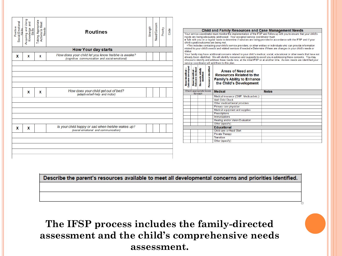| Positive<br>Social-Emotional<br><b>Skills</b> | Using<br>and<br>Acquiring and<br>Knowledge<br>Skills | Taking Appropriate<br>Actions to Meet<br>Needs | <b>Routines</b>                                                                                      | Strength | Need/Concern | Priority | Code |
|-----------------------------------------------|------------------------------------------------------|------------------------------------------------|------------------------------------------------------------------------------------------------------|----------|--------------|----------|------|
|                                               |                                                      |                                                | <b>How Your day starts</b>                                                                           |          |              |          |      |
| x                                             | x                                                    | x                                              | How does your child let you know he/she is awake?<br>(cognitive, communication and social-emotional) |          |              |          |      |
|                                               |                                                      |                                                |                                                                                                      |          |              |          |      |
|                                               |                                                      |                                                |                                                                                                      |          |              |          |      |
|                                               |                                                      |                                                |                                                                                                      |          |              |          |      |
|                                               | x                                                    | x                                              | How does your child get out of bed?<br>(adaptive/self-help and motor)                                |          |              |          |      |
|                                               |                                                      |                                                |                                                                                                      |          |              |          |      |
|                                               |                                                      |                                                |                                                                                                      |          |              |          |      |
| x                                             | x                                                    |                                                | Is your child happy or sad when he/she wakes up?<br>(social-emotional and communication)             |          |              |          |      |
|                                               |                                                      |                                                |                                                                                                      |          |              |          |      |
|                                               |                                                      |                                                |                                                                                                      |          |              |          |      |

#### **Child and Family Resources and Case Management Needs**

Your service coordinator must monitor the implementation of the IFSP and follow up with you to ensure that your child's needs are being adequately addressed. Your assigned service coordinator must:

• Talk with you on a regular basis to determine if services are being provided in accordance with the IFSP and if your child's goals/outcomes are being met.

. This includes contacting your child's service providers, or other entities or individuals who can provide information related to your child's needs and related services if needed. • Determine if there are changes in your child's needs or status

Your family may have additional concerns related to your child's medical, social, educational or other needs that have not already been identified. We will identify resources and supports to assist you in addressing these concerns. You may choose to identify and address these needs now, at the initial IFSP or at another time. As new needs are identified your service coordinator will add them to this plan.

| Need Identified -<br>Outcome developed<br>Need Identified -<br>Outcome declined | No needs initially<br>identified | Resource Identified | <b>Areas of Need and</b><br><b>Resources Related to the</b><br><b>Family's Ability to Enhance</b><br>the Child's Development |              |
|---------------------------------------------------------------------------------|----------------------------------|---------------------|------------------------------------------------------------------------------------------------------------------------------|--------------|
| Check appropriate boxes<br>for each                                             |                                  |                     | <b>Medical</b>                                                                                                               | <b>Notes</b> |
|                                                                                 |                                  |                     | Medical insurance (CHIP, Medicaid etc.)                                                                                      |              |
|                                                                                 |                                  |                     | <b>Well Child Check</b>                                                                                                      |              |
|                                                                                 |                                  |                     | Other medical/dental providers                                                                                               |              |
|                                                                                 |                                  |                     | Primary care physician                                                                                                       |              |
|                                                                                 |                                  |                     | Medical equipment and supplies                                                                                               |              |
|                                                                                 |                                  |                     | <b>Prescriptions</b>                                                                                                         |              |
|                                                                                 |                                  |                     | <b>Immunizations</b>                                                                                                         |              |
|                                                                                 |                                  |                     | Hearing and/or Vision Evaluation                                                                                             |              |
|                                                                                 |                                  |                     | Other (specify)                                                                                                              |              |
|                                                                                 |                                  |                     | <b>Educational</b>                                                                                                           |              |
|                                                                                 |                                  |                     | Child care or Head Start                                                                                                     |              |
|                                                                                 |                                  |                     | <b>Private Therapy</b>                                                                                                       |              |
|                                                                                 |                                  |                     | <b>Transition</b>                                                                                                            |              |
|                                                                                 |                                  |                     | Other (specify)                                                                                                              |              |

'n

Describe the parent's resources available to meet all developmental concerns and priorities identified.

**The IFSP process includes the family-directed assessment and the child's comprehensive needs assessment.**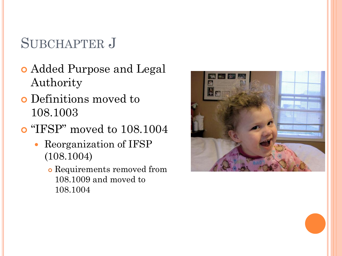- Added Purpose and Legal Authority
- Definitions moved to 108.1003
- o "IFSP" moved to 108.1004
	- Reorganization of IFSP (108.1004)
		- Requirements removed from 108.1009 and moved to 108.1004

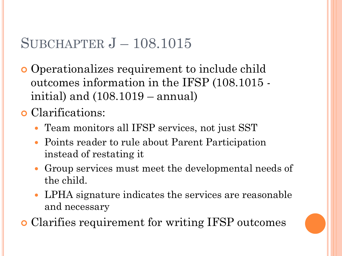#### SUBCHAPTER J – 108.1015

 Operationalizes requirement to include child outcomes information in the IFSP (108.1015 initial) and (108.1019 – annual)

Clarifications:

- Team monitors all IFSP services, not just SST
- Points reader to rule about Parent Participation instead of restating it
- Group services must meet the developmental needs of the child.
- LPHA signature indicates the services are reasonable and necessary
- Clarifies requirement for writing IFSP outcomes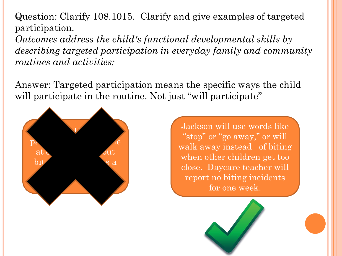Question: Clarify 108.1015. Clarify and give examples of targeted participation.

*Outcomes address the child's functional developmental skills by describing targeted participation in everyday family and community routines and activities;*

Answer: Targeted participation means the specific ways the child will participate in the routine. Not just "will participate"



Jackson will use words like "stop" or "go away," or will walk away instead of biting when other children get too close. Daycare teacher will report no biting incidents for one week.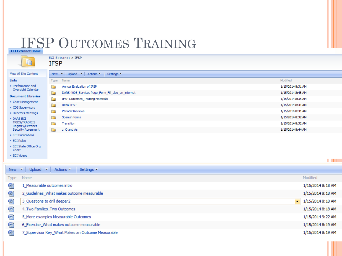## **IFSP OUTCOMES TRAINING**



ECI Extranet > IFSP **IFSP** 

| View All Site            |
|--------------------------|
| Lists                    |
| • Performan<br>Oversight |

| View All Site Content                        | <b>New</b> | Upload T<br>Actions -<br>Settings -<br>$\mathbf{v}$ |                   |
|----------------------------------------------|------------|-----------------------------------------------------|-------------------|
| <b>Lists</b>                                 | Type       | Name                                                | Modified          |
| • Performance and<br>Oversight Calendar      | Ō.         | Annual Evaluation of IFSP                           | 1/15/2014 8:31 AM |
|                                              | È          | DARS 4006_Services Page_Form_Fill_also_on_internet  | 1/15/2014 8:48 AM |
| <b>Document Libraries</b><br>Case Management | Ō.         | <b>IFSP Outcomes Training Materials</b>             | 1/15/2014 8:35 AM |
| CDS Supervisors                              | ħ          | Initial IFSP                                        | 1/15/2014 8:31 AM |
| Directors Meetings                           | È          | Periodic Reviews                                    | 1/15/2014 8:31 AM |
| <b>DARS ECI</b>                              |            | Spanish forms                                       | 1/15/2014 8:32 AM |
| TKIDS/TRAD/EIS<br>Registry/Extranet          | È          | Transition                                          | 1/15/2014 8:32 AM |
| <b>Security Agreement</b>                    | n          | z_Q and As                                          | 1/15/2014 8:44 AM |
|                                              |            |                                                     |                   |

Ξ

- **ECI Publications**
- · ECI Rules

- ECI State Office Org Chart
- · ECI Videos

|     |                                                   | . .               |
|-----|---------------------------------------------------|-------------------|
| New | Upload •<br>$\bullet$<br>Actions<br>Settings      |                   |
|     | Type Name                                         | Modified          |
| 四   | 1_Measurable outcomes intro                       | 1/15/2014 8:18 AM |
| 嚠   | 2_Guidelines_What makes outcome measurable        | 1/15/2014 8:18 AM |
| 嚠   | 3_Questions to drill deeper2<br>$\sim$ $\sim$     | 1/15/2014 8:18 AM |
| 嚠   | 4_Two Families_Two Outcomes                       | 1/15/2014 8:18 AM |
| 呬   | 5_More examples Measurable Outcomes               | 1/15/2014 9:22 AM |
| 四   | 6_Exercise_What makes outcome measurable          | 1/15/2014 8:19 AM |
| 呬   | 7_Supervisor Key_What Makes an Outcome Measurable | 1/15/2014 8:19 AM |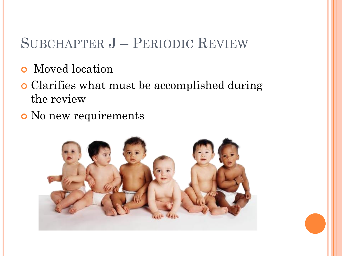#### SUBCHAPTER J – PERIODIC REVIEW

- Moved location
- Clarifies what must be accomplished during the review
- No new requirements

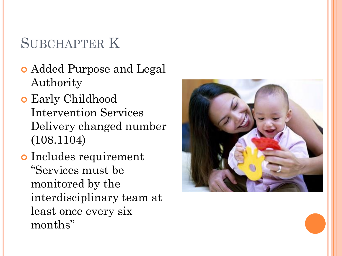- Added Purpose and Legal Authority
- Early Childhood Intervention Services Delivery changed number (108.1104)
- o Includes requirement "Services must be monitored by the interdisciplinary team at least once every six months"

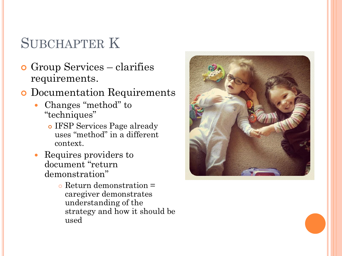- Group Services clarifies requirements.
- **o** Documentation Requirements
	- Changes "method" to "techniques"
		- IFSP Services Page already uses "method" in a different context.
	- Requires providers to document "return demonstration"
		- Return demonstration = caregiver demonstrates understanding of the strategy and how it should be used

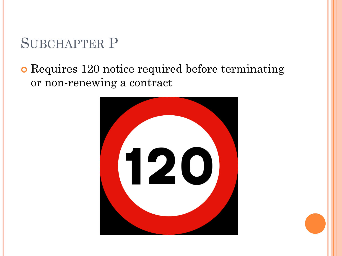#### Requires 120 notice required before terminating or non-renewing a contract

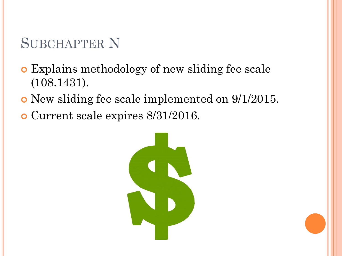- Explains methodology of new sliding fee scale (108.1431).
- New sliding fee scale implemented on 9/1/2015.
- Current scale expires 8/31/2016.